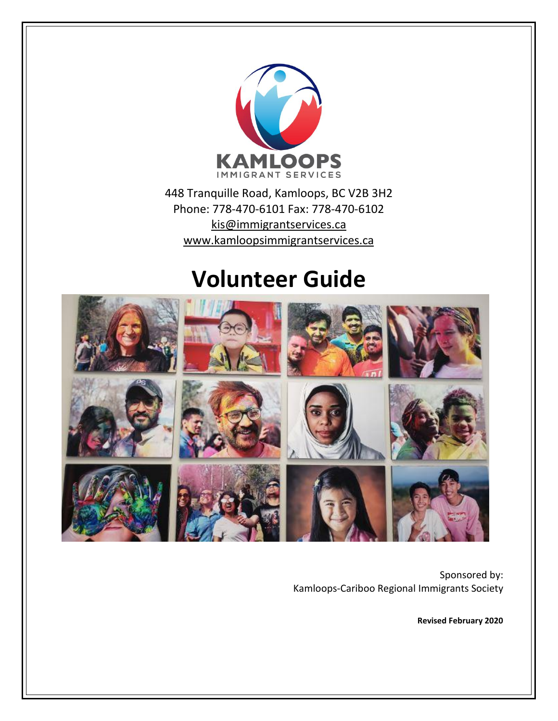

448 Tranquille Road, Kamloops, BC V2B 3H2 Phone: 778-470-6101 Fax: 778-470-6102 [kis@immigrantservices.ca](mailto:kis@immigrantservices.ca) [www.kamloopsimmigrantservices.ca](http://www.kamloopsimmigrantservices.ca/)

## **Volunteer Guide**



Sponsored by: Kamloops-Cariboo Regional Immigrants Society

**Revised February 2020**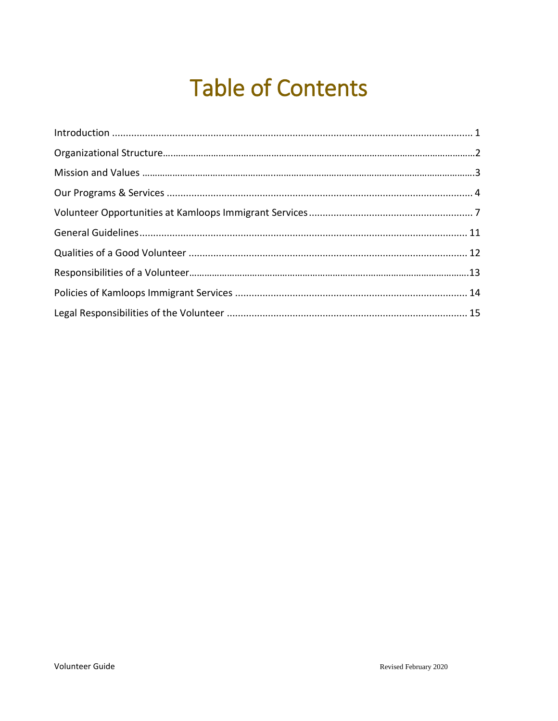# **Table of Contents**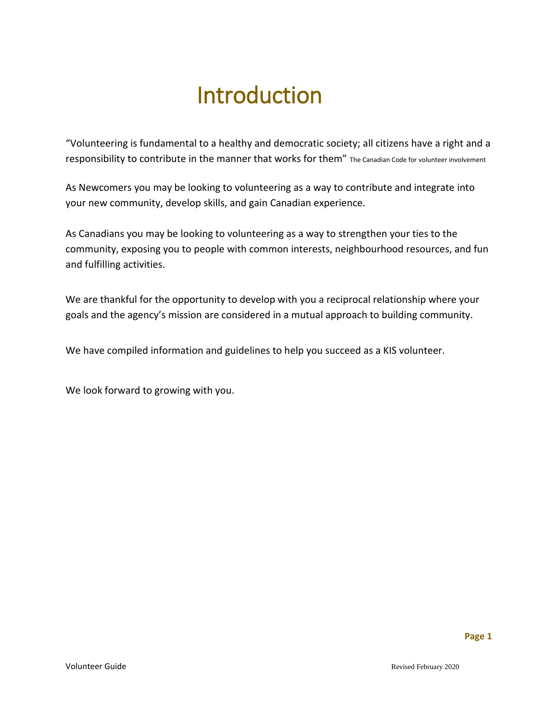## Introduction

<span id="page-2-0"></span>"Volunteering is fundamental to a healthy and democratic society; all citizens have a right and a responsibility to contribute in the manner that works for them" The Canadian Code for volunteer involvement

As Newcomers you may be looking to volunteering as a way to contribute and integrate into your new community, develop skills, and gain Canadian experience.

As Canadians you may be looking to volunteering as a way to strengthen your ties to the community, exposing you to people with common interests, neighbourhood resources, and fun and fulfilling activities.

We are thankful for the opportunity to develop with you a reciprocal relationship where your goals and the agency's mission are considered in a mutual approach to building community.

We have compiled information and guidelines to help you succeed as a KIS volunteer.

We look forward to growing with you.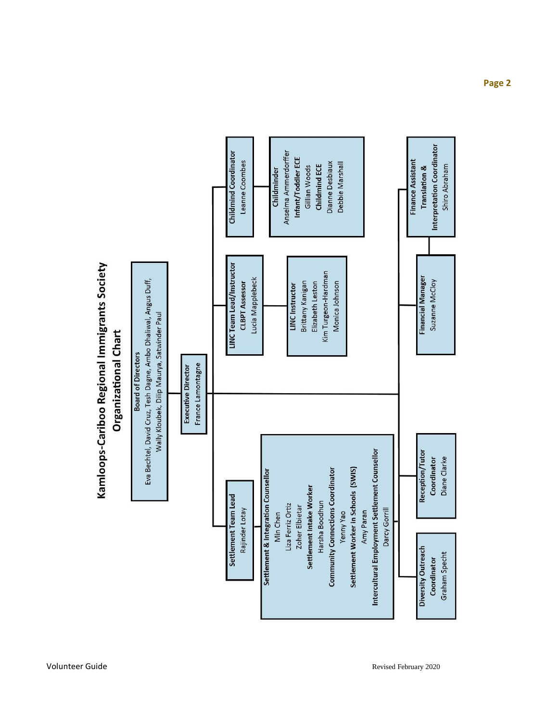

Kamloops-Cariboo Regional Immigrants Society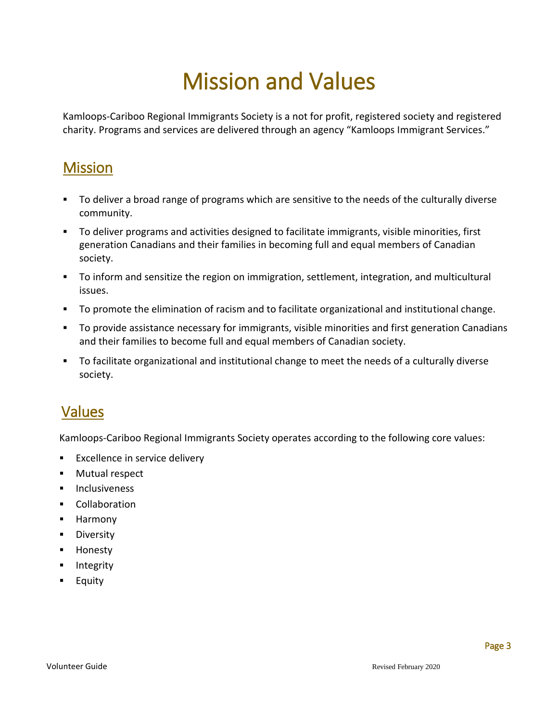# Mission and Values

Kamloops-Cariboo Regional Immigrants Society is a not for profit, registered society and registered charity. Programs and services are delivered through an agency "Kamloops Immigrant Services."

### Mission

- To deliver a broad range of programs which are sensitive to the needs of the culturally diverse community.
- To deliver programs and activities designed to facilitate immigrants, visible minorities, first generation Canadians and their families in becoming full and equal members of Canadian society.
- To inform and sensitize the region on immigration, settlement, integration, and multicultural issues.
- To promote the elimination of racism and to facilitate organizational and institutional change.
- To provide assistance necessary for immigrants, visible minorities and first generation Canadians and their families to become full and equal members of Canadian society.
- To facilitate organizational and institutional change to meet the needs of a culturally diverse society.

### Values

Kamloops-Cariboo Regional Immigrants Society operates according to the following core values:

- **Excellence in service delivery**
- **Mutual respect**
- **Inclusiveness**
- **Collaboration**
- **-** Harmony
- **Diversity**
- **-** Honesty
- **Integrity**
- **Equity**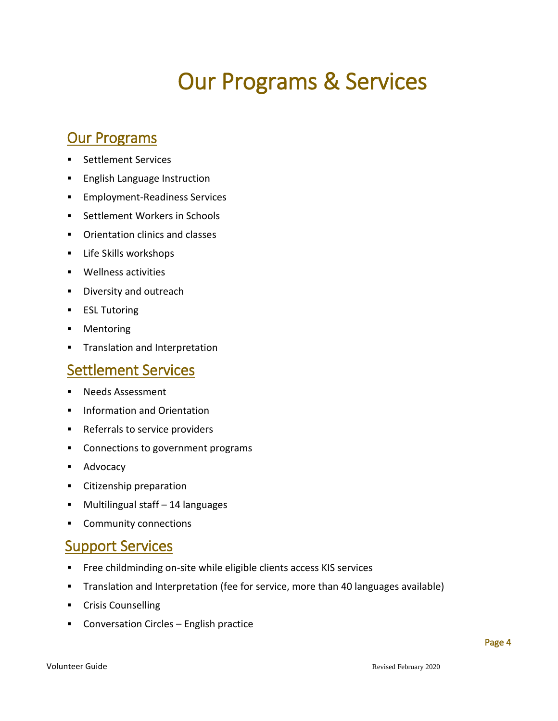# Our Programs & Services

### <span id="page-5-0"></span>**Our Programs**

- **Settlement Services**
- **English Language Instruction**
- **Employment-Readiness Services**
- **Settlement Workers in Schools**
- **•** Orientation clinics and classes
- **EXECUTE:** Life Skills workshops
- **Wellness activities**
- **Diversity and outreach**
- **ESL Tutoring**
- **•** Mentoring
- **Translation and Interpretation**

#### Settlement Services

- **Needs Assessment**
- **Information and Orientation**
- **Referrals to service providers**
- **•** Connections to government programs
- **Advocacy**
- **EXEC** Citizenship preparation
- Multilingual staff 14 languages
- **Community connections**

### **Support Services**

- **Free childminding on-site while eligible clients access KIS services**
- **Translation and Interpretation (fee for service, more than 40 languages available)**
- **EXECOULDEN** Crisis Counselling
- **EX Conversation Circles English practice**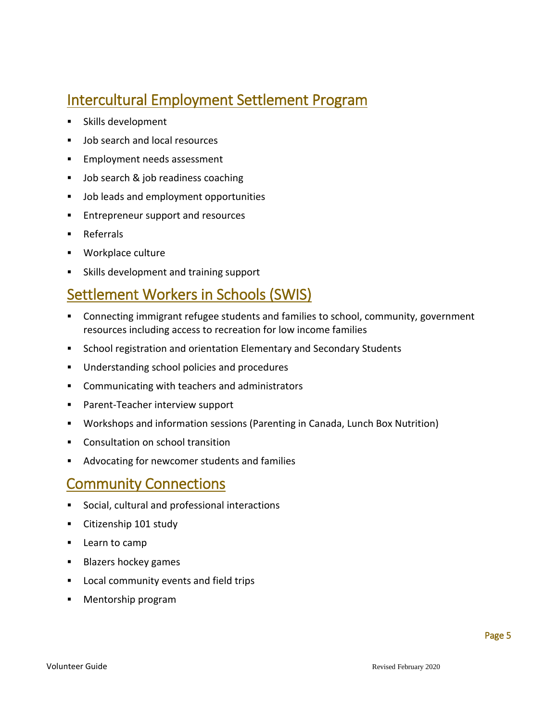### Intercultural Employment Settlement Program

- **Skills development**
- **Job search and local resources**
- **Employment needs assessment**
- **Job search & job readiness coaching**
- **Job leads and employment opportunities**
- **Entrepreneur support and resources**
- **Referrals**
- **Workplace culture**
- Skills development and training support

### Settlement Workers in Schools (SWIS)

- Connecting immigrant refugee students and families to school, community, government resources including access to recreation for low income families
- **School registration and orientation Elementary and Secondary Students**
- Understanding school policies and procedures
- **Communicating with teachers and administrators**
- **Parent-Teacher interview support**
- Workshops and information sessions (Parenting in Canada, Lunch Box Nutrition)
- **Consultation on school transition**
- Advocating for newcomer students and families

#### Community Connections

- Social, cultural and professional interactions
- **Citizenship 101 study**
- **Learn to camp**
- **Blazers hockey games**
- **Local community events and field trips**
- **Mentorship program**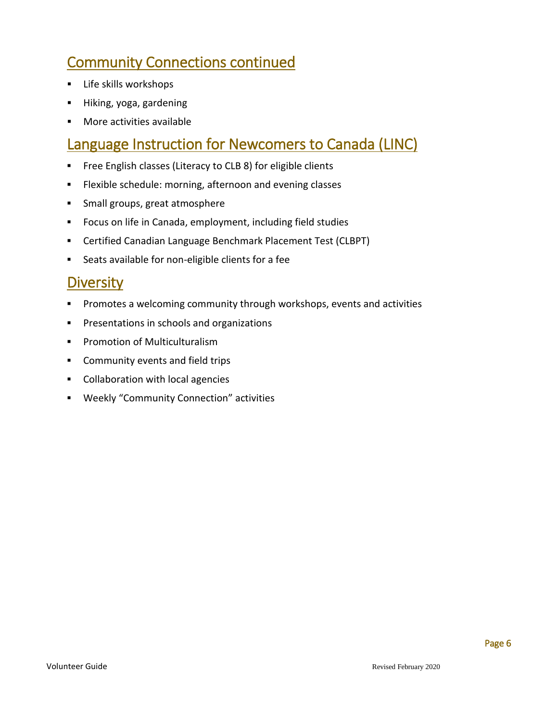### Community Connections continued

- **EXEC** Skills workshops
- **Hiking, yoga, gardening**
- **Nore activities available**

#### Language Instruction for Newcomers to Canada (LINC)

- **Free English classes (Literacy to CLB 8) for eligible clients**
- **Flexible schedule: morning, afternoon and evening classes**
- **Small groups, great atmosphere**
- **FICUM** Focus on life in Canada, employment, including field studies
- Certified Canadian Language Benchmark Placement Test (CLBPT)
- Seats available for non-eligible clients for a fee

#### **Diversity**

- Promotes a welcoming community through workshops, events and activities
- **Presentations in schools and organizations**
- **Promotion of Multiculturalism**
- **Community events and field trips**
- **Collaboration with local agencies**
- Weekly "Community Connection" activities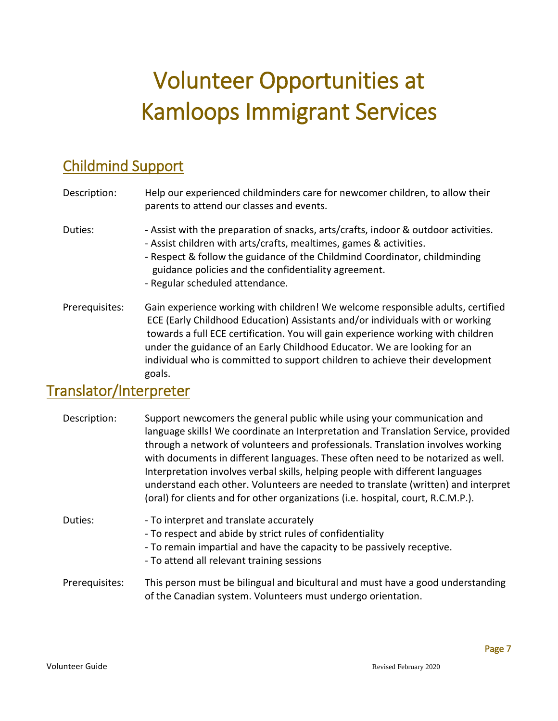# <span id="page-8-0"></span>Volunteer Opportunities at Kamloops Immigrant Services

## Childmind Support

| Description:                        | Help our experienced childminders care for newcomer children, to allow their<br>parents to attend our classes and events.                                                                                                                                                                                                                                                                                                  |
|-------------------------------------|----------------------------------------------------------------------------------------------------------------------------------------------------------------------------------------------------------------------------------------------------------------------------------------------------------------------------------------------------------------------------------------------------------------------------|
| Duties:                             | - Assist with the preparation of snacks, arts/crafts, indoor & outdoor activities.<br>- Assist children with arts/crafts, mealtimes, games & activities.<br>- Respect & follow the guidance of the Childmind Coordinator, childminding<br>guidance policies and the confidentiality agreement.<br>- Regular scheduled attendance.                                                                                          |
| Prerequisites:                      | Gain experience working with children! We welcome responsible adults, certified<br>ECE (Early Childhood Education) Assistants and/or individuals with or working<br>towards a full ECE certification. You will gain experience working with children<br>under the guidance of an Early Childhood Educator. We are looking for an<br>individual who is committed to support children to achieve their development<br>goals. |
| وتمتلم متمسم بالمراح وتمتلم أممر مم |                                                                                                                                                                                                                                                                                                                                                                                                                            |

### Translator/Interpreter

| Description:   | Support newcomers the general public while using your communication and<br>language skills! We coordinate an Interpretation and Translation Service, provided<br>through a network of volunteers and professionals. Translation involves working<br>with documents in different languages. These often need to be notarized as well.<br>Interpretation involves verbal skills, helping people with different languages<br>understand each other. Volunteers are needed to translate (written) and interpret<br>(oral) for clients and for other organizations (i.e. hospital, court, R.C.M.P.). |
|----------------|-------------------------------------------------------------------------------------------------------------------------------------------------------------------------------------------------------------------------------------------------------------------------------------------------------------------------------------------------------------------------------------------------------------------------------------------------------------------------------------------------------------------------------------------------------------------------------------------------|
| Duties:        | - To interpret and translate accurately<br>- To respect and abide by strict rules of confidentiality<br>- To remain impartial and have the capacity to be passively receptive.<br>- To attend all relevant training sessions                                                                                                                                                                                                                                                                                                                                                                    |
| Prerequisites: | This person must be bilingual and bicultural and must have a good understanding<br>of the Canadian system. Volunteers must undergo orientation.                                                                                                                                                                                                                                                                                                                                                                                                                                                 |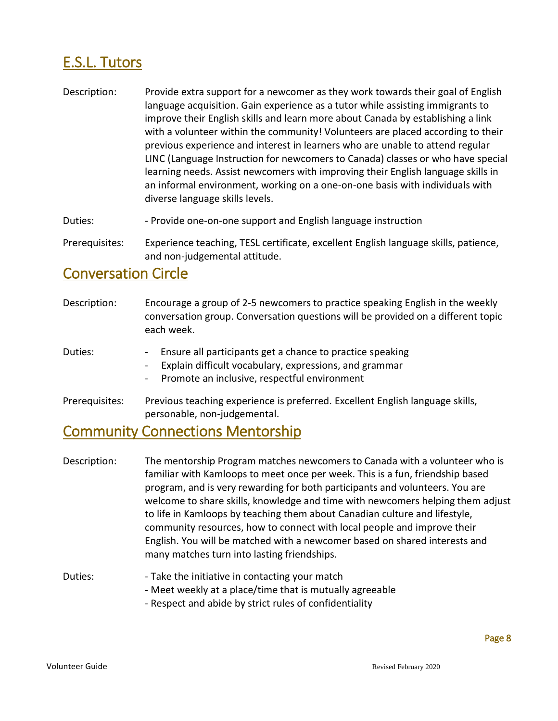## E.S.L. Tutors

- Description: Provide extra support for a newcomer as they work towards their goal of English language acquisition. Gain experience as a tutor while assisting immigrants to improve their English skills and learn more about Canada by establishing a link with a volunteer within the community! Volunteers are placed according to their previous experience and interest in learners who are unable to attend regular LINC (Language Instruction for newcomers to Canada) classes or who have special learning needs. Assist newcomers with improving their English language skills in an informal environment, working on a one-on-one basis with individuals with diverse language skills levels.
- Duties: The Provide one-on-one support and English language instruction

Prerequisites: Experience teaching, TESL certificate, excellent English language skills, patience, and non-judgemental attitude.

#### Conversation Circle

Description: Encourage a group of 2-5 newcomers to practice speaking English in the weekly conversation group. Conversation questions will be provided on a different topic each week. Duties: The Surface all participants get a chance to practice speaking Explain difficult vocabulary, expressions, and grammar - Promote an inclusive, respectful environment Prerequisites: Previous teaching experience is preferred. Excellent English language skills, personable, non-judgemental.

### Community Connections Mentorship

| Description: | The mentorship Program matches newcomers to Canada with a volunteer who is<br>familiar with Kamloops to meet once per week. This is a fun, friendship based<br>program, and is very rewarding for both participants and volunteers. You are<br>welcome to share skills, knowledge and time with newcomers helping them adjust<br>to life in Kamloops by teaching them about Canadian culture and lifestyle,<br>community resources, how to connect with local people and improve their<br>English. You will be matched with a newcomer based on shared interests and<br>many matches turn into lasting friendships. |
|--------------|---------------------------------------------------------------------------------------------------------------------------------------------------------------------------------------------------------------------------------------------------------------------------------------------------------------------------------------------------------------------------------------------------------------------------------------------------------------------------------------------------------------------------------------------------------------------------------------------------------------------|
| Duties:      | - Take the initiative in contacting your match<br>- Meet weekly at a place/time that is mutually agreeable                                                                                                                                                                                                                                                                                                                                                                                                                                                                                                          |

- Respect and abide by strict rules of confidentiality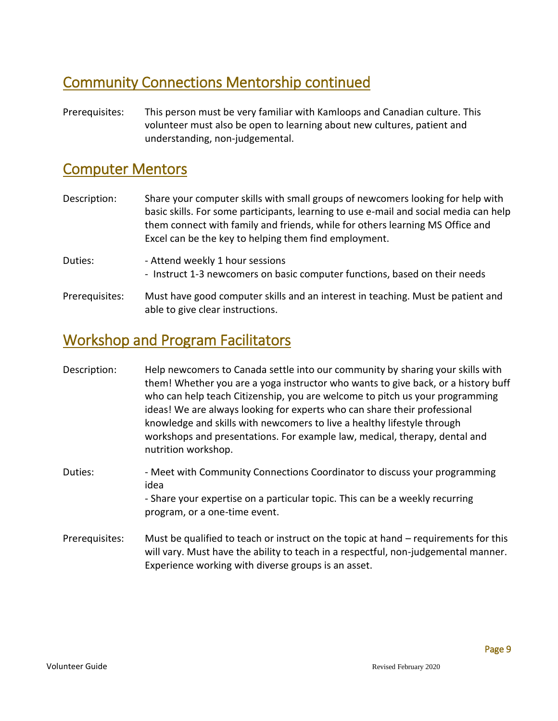### Community Connections Mentorship continued

Prerequisites: This person must be very familiar with Kamloops and Canadian culture. This volunteer must also be open to learning about new cultures, patient and understanding, non-judgemental.

### Computer Mentors

- Description: Share your computer skills with small groups of newcomers looking for help with basic skills. For some participants, learning to use e-mail and social media can help them connect with family and friends, while for others learning MS Office and Excel can be the key to helping them find employment.
- Duties:  **Attend weekly 1 hour sessions** - Instruct 1-3 newcomers on basic computer functions, based on their needs
- Prerequisites: Must have good computer skills and an interest in teaching. Must be patient and able to give clear instructions.

### Workshop and Program Facilitators

- Description: Help newcomers to Canada settle into our community by sharing your skills with them! Whether you are a yoga instructor who wants to give back, or a history buff who can help teach Citizenship, you are welcome to pitch us your programming ideas! We are always looking for experts who can share their professional knowledge and skills with newcomers to live a healthy lifestyle through workshops and presentations. For example law, medical, therapy, dental and nutrition workshop.
- Duties: - Meet with Community Connections Coordinator to discuss your programming idea - Share your expertise on a particular topic. This can be a weekly recurring
	- program, or a one-time event.
- Prerequisites: Must be qualified to teach or instruct on the topic at hand requirements for this will vary. Must have the ability to teach in a respectful, non-judgemental manner. Experience working with diverse groups is an asset.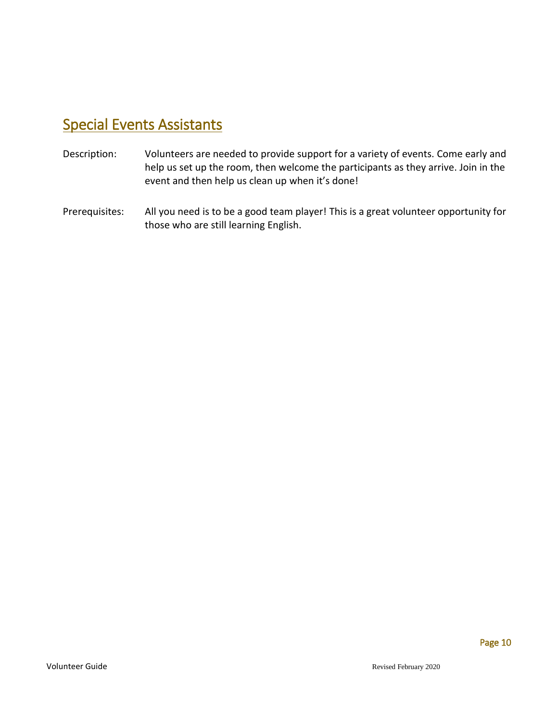### Special Events Assistants

- Description: Volunteers are needed to provide support for a variety of events. Come early and help us set up the room, then welcome the participants as they arrive. Join in the event and then help us clean up when it's done!
- Prerequisites: All you need is to be a good team player! This is a great volunteer opportunity for those who are still learning English.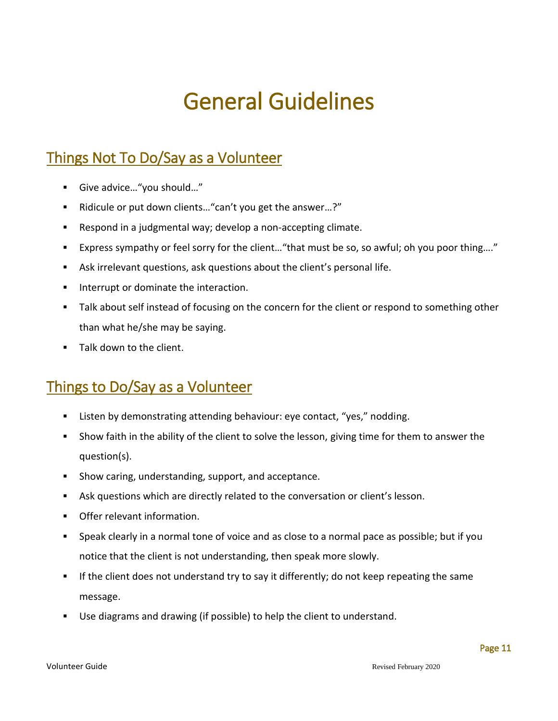# General Guidelines

### <span id="page-12-0"></span>Things Not To Do/Say as a Volunteer

- Give advice..."you should..."
- Ridicule or put down clients... "can't you get the answer...?"
- Respond in a judgmental way; develop a non-accepting climate.
- Express sympathy or feel sorry for the client…"that must be so, so awful; oh you poor thing…."
- Ask irrelevant questions, ask questions about the client's personal life.
- **Interrupt or dominate the interaction.**
- Talk about self instead of focusing on the concern for the client or respond to something other than what he/she may be saying.
- **Talk down to the client.**

### Things to Do/Say as a Volunteer

- **EXECTE ATTE:** Listen by demonstrating attending behaviour: eye contact, "yes," nodding.
- Show faith in the ability of the client to solve the lesson, giving time for them to answer the question(s).
- **Show caring, understanding, support, and acceptance.**
- Ask questions which are directly related to the conversation or client's lesson.
- Offer relevant information.
- Speak clearly in a normal tone of voice and as close to a normal pace as possible; but if you notice that the client is not understanding, then speak more slowly.
- If the client does not understand try to say it differently; do not keep repeating the same message.
- Use diagrams and drawing (if possible) to help the client to understand.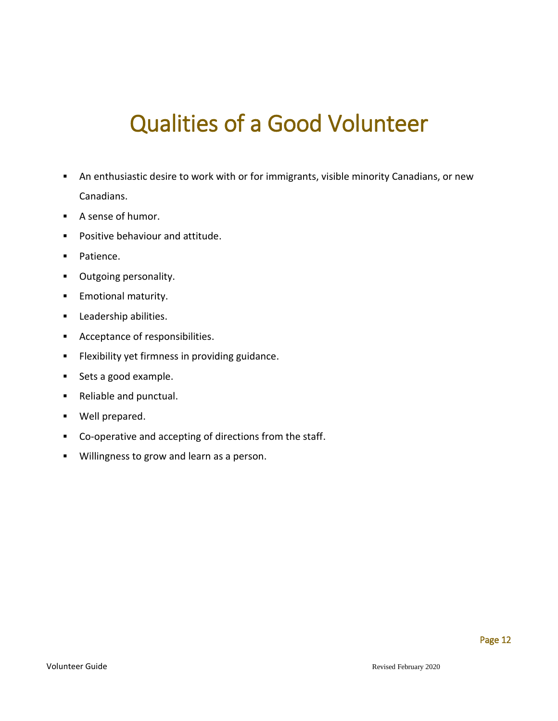# Qualities of a Good Volunteer

- <span id="page-13-0"></span> An enthusiastic desire to work with or for immigrants, visible minority Canadians, or new Canadians.
- A sense of humor.
- **Positive behaviour and attitude.**
- **Patience.**
- **•** Outgoing personality.
- **Emotional maturity.**
- **Leadership abilities.**
- **Acceptance of responsibilities.**
- **Filexibility yet firmness in providing guidance.**
- Sets a good example.
- **Reliable and punctual.**
- **Well prepared.**
- Co-operative and accepting of directions from the staff.
- **Willingness to grow and learn as a person.**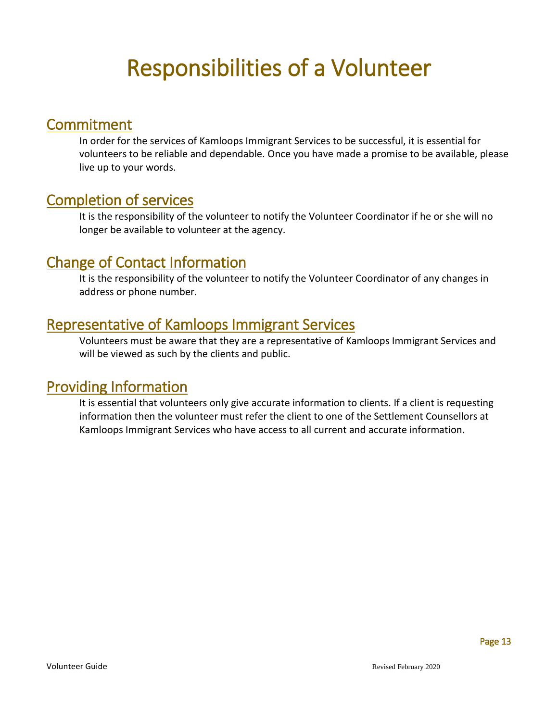# Responsibilities of a Volunteer

#### **Commitment**

In order for the services of Kamloops Immigrant Services to be successful, it is essential for volunteers to be reliable and dependable. Once you have made a promise to be available, please live up to your words.

### Completion of services

It is the responsibility of the volunteer to notify the Volunteer Coordinator if he or she will no longer be available to volunteer at the agency.

#### Change of Contact Information

It is the responsibility of the volunteer to notify the Volunteer Coordinator of any changes in address or phone number.

### Representative of Kamloops Immigrant Services

Volunteers must be aware that they are a representative of Kamloops Immigrant Services and will be viewed as such by the clients and public.

#### Providing Information

It is essential that volunteers only give accurate information to clients. If a client is requesting information then the volunteer must refer the client to one of the Settlement Counsellors at Kamloops Immigrant Services who have access to all current and accurate information.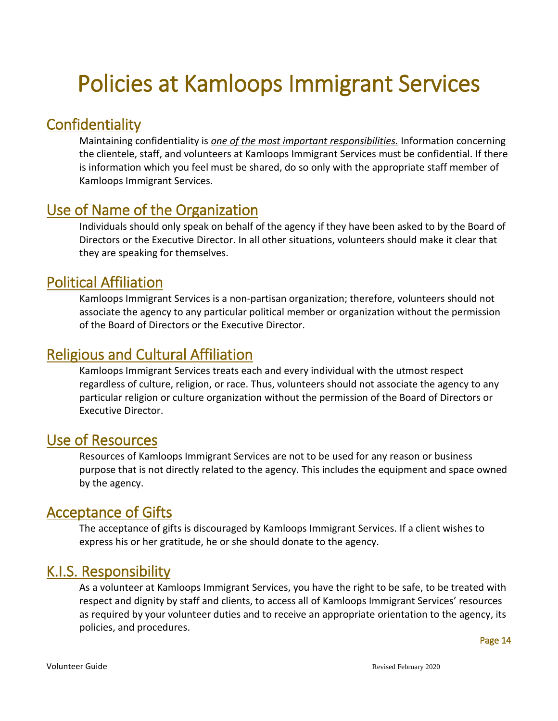# <span id="page-15-0"></span>Policies at Kamloops Immigrant Services

### **Confidentiality**

Maintaining confidentiality is *one of the most important responsibilities.* Information concerning the clientele, staff, and volunteers at Kamloops Immigrant Services must be confidential. If there is information which you feel must be shared, do so only with the appropriate staff member of Kamloops Immigrant Services.

### Use of Name of the Organization

Individuals should only speak on behalf of the agency if they have been asked to by the Board of Directors or the Executive Director. In all other situations, volunteers should make it clear that they are speaking for themselves.

### Political Affiliation

Kamloops Immigrant Services is a non-partisan organization; therefore, volunteers should not associate the agency to any particular political member or organization without the permission of the Board of Directors or the Executive Director.

### Religious and Cultural Affiliation

Kamloops Immigrant Services treats each and every individual with the utmost respect regardless of culture, religion, or race. Thus, volunteers should not associate the agency to any particular religion or culture organization without the permission of the Board of Directors or Executive Director.

### Use of Resources

Resources of Kamloops Immigrant Services are not to be used for any reason or business purpose that is not directly related to the agency. This includes the equipment and space owned by the agency.

### Acceptance of Gifts

The acceptance of gifts is discouraged by Kamloops Immigrant Services. If a client wishes to express his or her gratitude, he or she should donate to the agency.

### K.I.S. Responsibility

As a volunteer at Kamloops Immigrant Services, you have the right to be safe, to be treated with respect and dignity by staff and clients, to access all of Kamloops Immigrant Services' resources as required by your volunteer duties and to receive an appropriate orientation to the agency, its policies, and procedures.